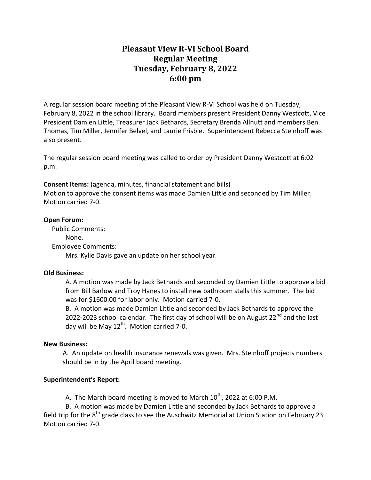# **Pleasant View R-VI School Board Regular Meeting Tuesday, February 8, 2022 6:00 pm**

A regular session board meeting of the Pleasant View R-VI School was held on Tuesday, February 8, 2022 in the school library. Board members present President Danny Westcott, Vice President Damien Little, Treasurer Jack Bethards, Secretary Brenda Allnutt and members Ben Thomas, Tim Miller, Jennifer Belvel, and Laurie Frisbie. Superintendent Rebecca Steinhoff was also present.

The regular session board meeting was called to order by President Danny Westcott at 6:02 p.m.

**Consent Items:** (agenda, minutes, financial statement and bills) Motion to approve the consent items was made Damien Little and seconded by Tim Miller. Motion carried 7-0.

### **Open Forum:**

 Public Comments: None. Employee Comments: Mrs. Kylie Davis gave an update on her school year.

## **Old Business:**

A. A motion was made by Jack Bethards and seconded by Damien Little to approve a bid from Bill Barlow and Troy Hanes to install new bathroom stalls this summer. The bid was for \$1600.00 for labor only. Motion carried 7-0.

B. A motion was made Damien Little and seconded by Jack Bethards to approve the 2022-2023 school calendar. The first day of school will be on August 22<sup>nd</sup> and the last day will be May  $12<sup>th</sup>$ . Motion carried 7-0.

## **New Business:**

A. An update on health insurance renewals was given. Mrs. Steinhoff projects numbers should be in by the April board meeting.

## **Superintendent's Report:**

A. The March board meeting is moved to March  $10^{th}$ , 2022 at 6:00 P.M.

B. A motion was made by Damien Little and seconded by Jack Bethards to approve a field trip for the  $8<sup>th</sup>$  grade class to see the Auschwitz Memorial at Union Station on February 23. Motion carried 7-0.